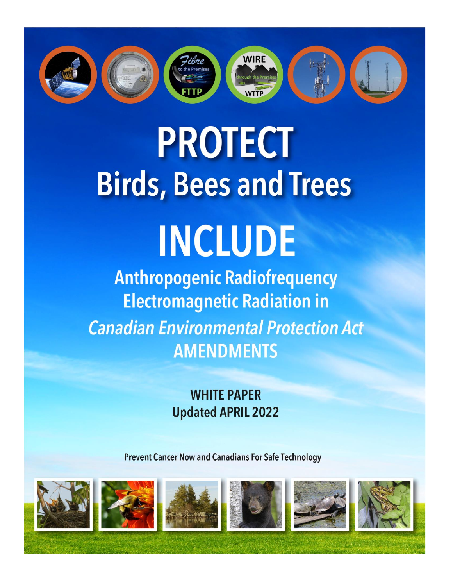

# **PROTECT Birds, Bees and Trees**

## **INCLUDE**

**Anthropogenic Radiofrequency Electromagnetic Radiation in Canadian Environmental Protection Act AMENDMENTS** 

### **WHITE PAPER Updated APRIL 2022**

**Prevent Cancer Now and Canadians For Safe Technology** 

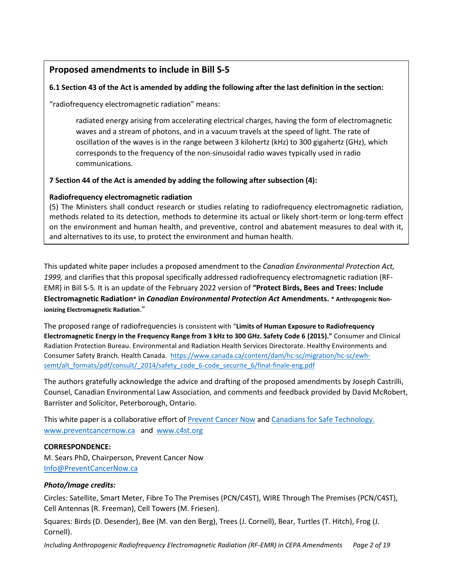#### **Proposed amendments to include in Bill S-5**

#### **6.1 Section 43 of the Act is amended by adding the following after the last definition in the section:**

"radiofrequency electromagnetic radiation" means:

radiated energy arising from accelerating electrical charges, having the form of electromagnetic waves and a stream of photons, and in a vacuum travels at the speed of light. The rate of oscillation of the waves is in the range between 3 kilohertz (kHz) to 300 gigahertz (GHz), which corresponds to the frequency of the non-sinusoidal radio waves typically used in radio communications.

#### **7 Section 44 of the Act is amended by adding the following after subsection (4):**

#### **Radiofrequency electromagnetic radiation**

(5) The Ministers shall conduct research or studies relating to radiofrequency electromagnetic radiation, methods related to its detection, methods to determine its actual or likely short-term or long-term effect on the environment and human health, and preventive, control and abatement measures to deal with it, and alternatives to its use, to protect the environment and human health.

This updated white paper includes a proposed amendment to the *Canadian Environmental Protection Act, 1999,* and clarifies that this proposal specifically addressed radiofrequency electromagnetic radiation (RF-EMR) in Bill S-5*.* It is an update of the February 2022 version of **"Protect Birds, Bees and Trees: Include Electromagnetic Radiation\* in** *Canadian Environmental Protection Act* **Amendments. \* Anthropogenic Nonionizing Electromagnetic Radiation**."

The proposed range of radiofrequencies is consistent with "**Limits of Human Exposure to Radiofrequency Electromagnetic Energy in the Frequency Range from 3 kHz to 300 GHz. Safety Code 6 (2015)."** Consumer and Clinical Radiation Protection Bureau. Environmental and Radiation Health Services Directorate. Healthy Environments and Consumer Safety Branch. Health Canada. [https://www.canada.ca/content/dam/hc-sc/migration/hc-sc/ewh](https://www.canada.ca/content/dam/hc-sc/migration/hc-sc/ewh-semt/alt_formats/pdf/consult/_2014/safety_code_6-code_securite_6/final-finale-eng.pdf)[semt/alt\\_formats/pdf/consult/\\_2014/safety\\_code\\_6-code\\_securite\\_6/final-finale-eng.pdf](https://www.canada.ca/content/dam/hc-sc/migration/hc-sc/ewh-semt/alt_formats/pdf/consult/_2014/safety_code_6-code_securite_6/final-finale-eng.pdf)

The authors gratefully acknowledge the advice and drafting of the proposed amendments by Joseph Castrilli, Counsel, Canadian Environmental Law Association, and comments and feedback provided by David McRobert, Barrister and Solicitor, Peterborough, Ontario.

This white paper is a collaborative effort o[f Prevent Cancer Now](https://preventcancernow.ca/) and [Canadians for Safe Technology.](https://c4st.org/) [www.preventcancernow.ca](http://www.preventcancernow.ca/) and [www.c4st.org](http://www.c4st.org/)

#### **CORRESPONDENCE:**

M. Sears PhD, Chairperson, Prevent Cancer Now [Info@PreventCancerNow.ca](mailto:Info@PreventCancerNow.ca)

#### *Photo/Image credits:*

Circles: Satellite, Smart Meter, Fibre To The Premises (PCN/C4ST), WIRE Through The Premises (PCN/C4ST), Cell Antennas (R. Freeman), Cell Towers (M. Friesen).

Squares: Birds (D. Desender), Bee (M. van den Berg), Trees (J. Cornell), Bear, Turtles (T. Hitch), Frog (J. Cornell).

*Including Anthropogenic Radiofrequency Electromagnetic Radiation (RF-EMR) in CEPA Amendments Page 2 of 19*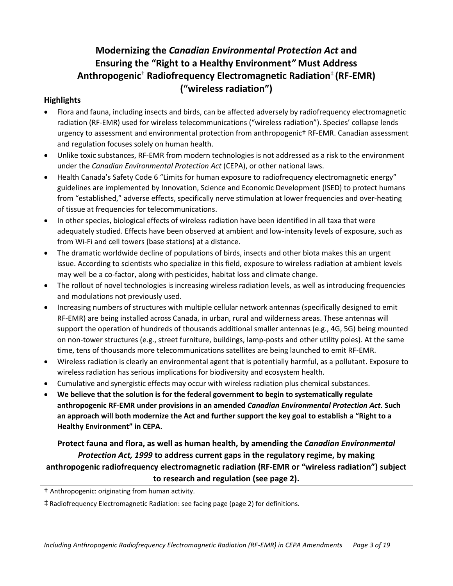#### **Modernizing the** *Canadian Environmental Protection Act* **and Ensuring the "Right to a Healthy Environment***"* **Must Address Anthropogenic**† **Radiofrequency Electromagnetic Radiation**‡ **(RF-EMR) ("wireless radiation")**

#### **Highlights**

- Flora and fauna, including insects and birds, can be affected adversely by radiofrequency electromagnetic radiation (RF-EMR) used for wireless telecommunications ("wireless radiation"). Species' collapse lends urgency to assessment and environmental protection from anthropogenic† RF-EMR. Canadian assessment and regulation focuses solely on human health.
- Unlike toxic substances, RF-EMR from modern technologies is not addressed as a risk to the environment under the *Canadian Environmental Protection Act* (CEPA), or other national laws.
- Health Canada's Safety Code 6 "Limits for human exposure to radiofrequency electromagnetic energy" guidelines are implemented by Innovation, Science and Economic Development (ISED) to protect humans from "established," adverse effects, specifically nerve stimulation at lower frequencies and over-heating of tissue at frequencies for telecommunications.
- In other species, biological effects of wireless radiation have been identified in all taxa that were adequately studied. Effects have been observed at ambient and low-intensity levels of exposure, such as from Wi-Fi and cell towers (base stations) at a distance.
- The dramatic worldwide decline of populations of birds, insects and other biota makes this an urgent issue. According to scientists who specialize in this field, exposure to wireless radiation at ambient levels may well be a co-factor, along with pesticides, habitat loss and climate change.
- The rollout of novel technologies is increasing wireless radiation levels, as well as introducing frequencies and modulations not previously used.
- Increasing numbers of structures with multiple cellular network antennas (specifically designed to emit RF-EMR) are being installed across Canada, in urban, rural and wilderness areas. These antennas will support the operation of hundreds of thousands additional smaller antennas (e.g., 4G, 5G) being mounted on non-tower structures (e.g., street furniture, buildings, lamp-posts and other utility poles). At the same time, tens of thousands more telecommunications satellites are being launched to emit RF-EMR.
- Wireless radiation is clearly an environmental agent that is potentially harmful, as a pollutant. Exposure to wireless radiation has serious implications for biodiversity and ecosystem health.
- Cumulative and synergistic effects may occur with wireless radiation plus chemical substances.
- **We believe that the solution is for the federal government to begin to systematically regulate anthropogenic RF-EMR under provisions in an amended** *Canadian Environmental Protection Act***. Such an approach will both modernize the Act and further support the key goal to establish a "Right to a Healthy Environment" in CEPA.**

**Protect fauna and flora, as well as human health, by amending the** *Canadian Environmental Protection Act, 1999* **to address current gaps in the regulatory regime, by making anthropogenic radiofrequency electromagnetic radiation (RF-EMR or "wireless radiation") subject to research and regulation (see page 2).**

† Anthropogenic: originating from human activity.

‡ Radiofrequency Electromagnetic Radiation: see facing page (page 2) for definitions.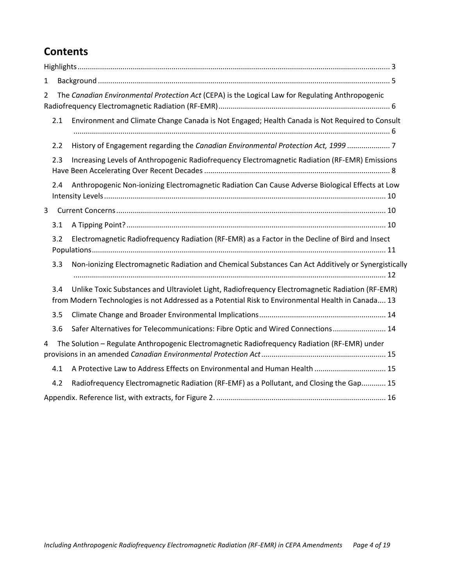#### **Contents**

| $\mathbf{1}$                                                                                                       |     |                                                                                                                                                                                                        |  |  |
|--------------------------------------------------------------------------------------------------------------------|-----|--------------------------------------------------------------------------------------------------------------------------------------------------------------------------------------------------------|--|--|
| The Canadian Environmental Protection Act (CEPA) is the Logical Law for Regulating Anthropogenic<br>$\overline{2}$ |     |                                                                                                                                                                                                        |  |  |
|                                                                                                                    | 2.1 | Environment and Climate Change Canada is Not Engaged; Health Canada is Not Required to Consult                                                                                                         |  |  |
|                                                                                                                    | 2.2 | History of Engagement regarding the Canadian Environmental Protection Act, 1999  7                                                                                                                     |  |  |
|                                                                                                                    | 2.3 | Increasing Levels of Anthropogenic Radiofrequency Electromagnetic Radiation (RF-EMR) Emissions                                                                                                         |  |  |
|                                                                                                                    | 2.4 | Anthropogenic Non-ionizing Electromagnetic Radiation Can Cause Adverse Biological Effects at Low                                                                                                       |  |  |
| $\overline{3}$                                                                                                     |     |                                                                                                                                                                                                        |  |  |
|                                                                                                                    | 3.1 |                                                                                                                                                                                                        |  |  |
|                                                                                                                    | 3.2 | Electromagnetic Radiofrequency Radiation (RF-EMR) as a Factor in the Decline of Bird and Insect                                                                                                        |  |  |
|                                                                                                                    | 3.3 | Non-ionizing Electromagnetic Radiation and Chemical Substances Can Act Additively or Synergistically                                                                                                   |  |  |
|                                                                                                                    | 3.4 | Unlike Toxic Substances and Ultraviolet Light, Radiofrequency Electromagnetic Radiation (RF-EMR)<br>from Modern Technologies is not Addressed as a Potential Risk to Environmental Health in Canada 13 |  |  |
|                                                                                                                    | 3.5 |                                                                                                                                                                                                        |  |  |
|                                                                                                                    | 3.6 | Safer Alternatives for Telecommunications: Fibre Optic and Wired Connections 14                                                                                                                        |  |  |
| 4                                                                                                                  |     | The Solution - Regulate Anthropogenic Electromagnetic Radiofrequency Radiation (RF-EMR) under                                                                                                          |  |  |
|                                                                                                                    | 4.1 | A Protective Law to Address Effects on Environmental and Human Health  15                                                                                                                              |  |  |
|                                                                                                                    | 4.2 | Radiofrequency Electromagnetic Radiation (RF-EMF) as a Pollutant, and Closing the Gap 15                                                                                                               |  |  |
|                                                                                                                    |     |                                                                                                                                                                                                        |  |  |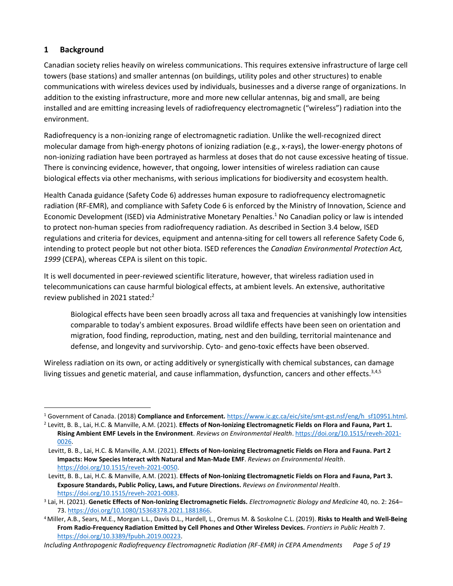#### **1 Background**

Canadian society relies heavily on wireless communications. This requires extensive infrastructure of large cell towers (base stations) and smaller antennas (on buildings, utility poles and other structures) to enable communications with wireless devices used by individuals, businesses and a diverse range of organizations. In addition to the existing infrastructure, more and more new cellular antennas, big and small, are being installed and are emitting increasing levels of radiofrequency electromagnetic ("wireless") radiation into the environment.

Radiofrequency is a non-ionizing range of electromagnetic radiation. Unlike the well-recognized direct molecular damage from high-energy photons of ionizing radiation (e.g., x-rays), the lower-energy photons of non-ionizing radiation have been portrayed as harmless at doses that do not cause excessive heating of tissue. There is convincing evidence, however, that ongoing, lower intensities of wireless radiation can cause biological effects via other mechanisms, with serious implications for biodiversity and ecosystem health.

Health Canada guidance (Safety Code 6) addresses human exposure to radiofrequency electromagnetic radiation (RF-EMR), and compliance with Safety Code 6 is enforced by the Ministry of Innovation, Science and Economic Development (ISED) via Administrative Monetary Penalties.<sup>1</sup> No Canadian policy or law is intended to protect non-human species from radiofrequency radiation. As described in Section 3.4 below, ISED regulations and criteria for devices, equipment and antenna-siting for cell towers all reference Safety Code 6, intending to protect people but not other biota. ISED references the *Canadian Environmental Protection Act, 1999* (CEPA), whereas CEPA is silent on this topic.

It is well documented in peer-reviewed scientific literature, however, that wireless radiation used in telecommunications can cause harmful biological effects, at ambient levels. An extensive, authoritative review published in 2021 stated:<sup>2</sup>

<span id="page-4-1"></span><span id="page-4-0"></span>Biological effects have been seen broadly across all taxa and frequencies at vanishingly low intensities comparable to today's ambient exposures. Broad wildlife effects have been seen on orientation and migration, food finding, reproduction, mating, nest and den building, territorial maintenance and defense, and longevity and survivorship. Cyto- and geno-toxic effects have been observed.

Wireless radiation on its own, or acting additively or synergistically with chemical substances, can damage living tissues and genetic material, and cause inflammation, dysfunction, cancers and other effects.<sup>3,4,5</sup>

<sup>1</sup> Government of Canada. (2018) **Compliance and Enforcement.** [https://www.ic.gc.ca/eic/site/smt-gst.nsf/eng/h\\_sf10951.html.](https://www.ic.gc.ca/eic/site/smt-gst.nsf/eng/h_sf10951.html)

<sup>2</sup> Levitt, B. B., Lai, H.C. & Manville, A.M. (2021). **Effects of Non-Ionizing Electromagnetic Fields on Flora and Fauna, Part 1. Rising Ambient EMF Levels in the Environment**. *Reviews on Environmental Health*. [https://doi.org/10.1515/reveh-2021-](https://doi.org/10.1515/reveh-2021-0026) [0026.](https://doi.org/10.1515/reveh-2021-0026)

Levitt, B. B., Lai, H.C. & Manville, A.M. (2021). **Effects of Non-Ionizing Electromagnetic Fields on Flora and Fauna. Part 2 Impacts: How Species Interact with Natural and Man-Made EMF**. *Reviews on Environmental Health*. [https://doi.org/10.1515/reveh-2021-0050.](https://doi.org/10.1515/reveh-2021-0050)

Levitt, B. B., Lai, H.C. & Manville, A.M. (2021). **Effects of Non-Ionizing Electromagnetic Fields on Flora and Fauna, Part 3. Exposure Standards, Public Policy, Laws, and Future Directions.** *Reviews on Environmental Health*. [https://doi.org/10.1515/reveh-2021-0083.](https://doi.org/10.1515/reveh-2021-0083)

<sup>3</sup> Lai, H. (2021). **Genetic Effects of Non-Ionizing Electromagnetic Fields.** *Electromagnetic Biology and Medicine* 40, no. 2: 264– 73[. https://doi.org/10.1080/15368378.2021.1881866.](https://doi.org/10.1080/15368378.2021.1881866)

<sup>4</sup>Miller, A.B., Sears, M.E., Morgan L.L., Davis D.L., Hardell, L., Oremus M. & Soskolne C.L. (2019). **Risks to Health and Well-Being From Radio-Frequency Radiation Emitted by Cell Phones and Other Wireless Devices.** *Frontiers in Public Health* 7. [https://doi.org/10.3389/fpubh.2019.00223.](https://doi.org/10.3389/fpubh.2019.00223)

*Including Anthropogenic Radiofrequency Electromagnetic Radiation (RF-EMR) in CEPA Amendments Page 5 of 19*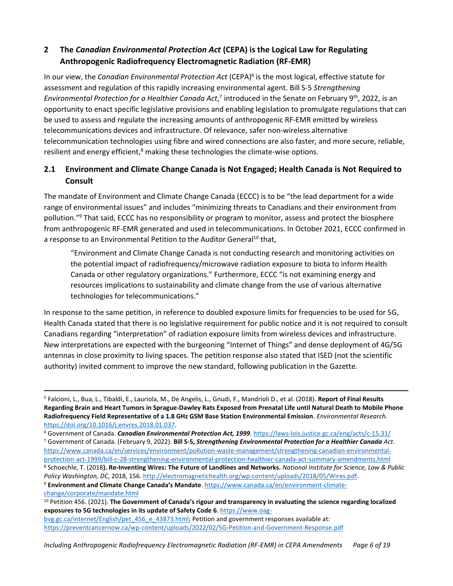#### **2 The** *Canadian Environmental Protection Act* **(CEPA) is the Logical Law for Regulating Anthropogenic Radiofrequency Electromagnetic Radiation (RF-EMR)**

In our view, the *Canadian Environmental Protection Act* (CEPA) 6 is the most logical, effective statute for assessment and regulation of this rapidly increasing environmental agent. Bill S-5 *Strengthening*  Environmental Protection for a Healthier Canada Act,<sup>7</sup> introduced in the Senate on February 9<sup>th</sup>, 2022, is an opportunity to enact specific legislative provisions and enabling legislation to promulgate regulations that can be used to assess and regulate the increasing amounts of anthropogenic RF-EMR emitted by wireless telecommunications devices and infrastructure. Of relevance, safer non-wireless alternative telecommunication technologies using fibre and wired connections are also faster, and more secure, reliable, resilient and energy efficient,<sup>8</sup> making these technologies the climate-wise options.

#### <span id="page-5-0"></span>**2.1 Environment and Climate Change Canada is Not Engaged; Health Canada is Not Required to Consult**

The mandate of Environment and Climate Change Canada (ECCC) is to be "the lead department for a wide range of environmental issues" and includes "minimizing threats to Canadians and their environment from pollution."<sup>9</sup> That said, ECCC has no responsibility or program to monitor, assess and protect the biosphere from anthropogenic RF-EMR generated and used in telecommunications. In October 2021, ECCC confirmed in a response to an Environmental Petition to the Auditor General<sup>10</sup> that,

"Environment and Climate Change Canada is not conducting research and monitoring activities on the potential impact of radiofrequency/microwave radiation exposure to biota to inform Health Canada or other regulatory organizations." Furthermore, ECCC "is not examining energy and resources implications to sustainability and climate change from the use of various alternative technologies for telecommunications."

In response to the same petition, in reference to doubled exposure limits for frequencies to be used for 5G, Health Canada stated that there is no legislative requirement for public notice and it is not required to consult Canadians regarding "interpretation" of radiation exposure limits from wireless devices and infrastructure. New interpretations are expected with the burgeoning "Internet of Things" and dense deployment of 4G/5G antennas in close proximity to living spaces. The petition response also stated that ISED (not the scientific authority) invited comment to improve the new standard, following publication in the Gazette.

[change/corporate/mandate.html](https://www.canada.ca/en/environment-climate-change/corporate/mandate.html)

<sup>5</sup> Falcioni, L., Bua, L., Tibaldi, E., Lauriola, M., De Angelis, L., Gnudi, F., Mandrioli D., et al. (2018). **Report of Final Results Regarding Brain and Heart Tumors in Sprague-Dawley Rats Exposed from Prenatal Life until Natural Death to Mobile Phone Radiofrequency Field Representative of a 1.8 GHz GSM Base Station Environmental Emission**. *Environmental Research*. [https://doi.org/10.1016/j.envres.2018.01.037.](https://doi.org/10.1016/j.envres.2018.01.037) 

<sup>6</sup> Government of Canada. *Canadian Environmental Protection Act, 1999.* <https://laws-lois.justice.gc.ca/eng/acts/c-15.31/> <sup>7</sup> Government of Canada. (February 9, 2022). **Bill S-5,** *Strengthening Environmental Protection for a Healthier Canada Act*. [https://www.canada.ca/en/services/environment/pollution-waste-management/strengthening-canadian-environmental](https://www.canada.ca/en/services/environment/pollution-waste-management/strengthening-canadian-environmental-protection-act-1999/bill-c-28-strengthening-environmental-protection-healthier-canada-act-summary-amendments.html)[protection-act-1999/bill-c-28-strengthening-environmental-protection-healthier-canada-act-summary-amendments.html](https://www.canada.ca/en/services/environment/pollution-waste-management/strengthening-canadian-environmental-protection-act-1999/bill-c-28-strengthening-environmental-protection-healthier-canada-act-summary-amendments.html) <sup>8</sup> Schoechle, T. (2018**). Re-Inventing Wires: The Future of Landlines and Networks.** *National Institute for Science, Law & Public* 

*Policy Washington, DC*, 2018, 156[. http://electromagnetichealth.org/wp-content/uploads/2018/05/Wires.pdf.](http://electromagnetichealth.org/wp-content/uploads/2018/05/Wires.pdf) <sup>9</sup> **Environment and Climate Change Canada's Mandate**. [https://www.canada.ca/en/environment-climate-](https://www.canada.ca/en/environment-climate-change/corporate/mandate.html)

<sup>10</sup> Petition 456. (2021). **The Government of Canada's rigour and transparency in evaluating the science regarding localized exposures to 5G technologies in its update of Safety Code 6**. [https://www.oag-](https://www.oag-bvg.gc.ca/internet/English/pet_456_e_43873.html)

[bvg.gc.ca/internet/English/pet\\_456\\_e\\_43873.html;](https://www.oag-bvg.gc.ca/internet/English/pet_456_e_43873.html) Petition and government responses available at: <https://preventcancernow.ca/wp-content/uploads/2022/02/5G-Petition-and-Government-Response.pdf>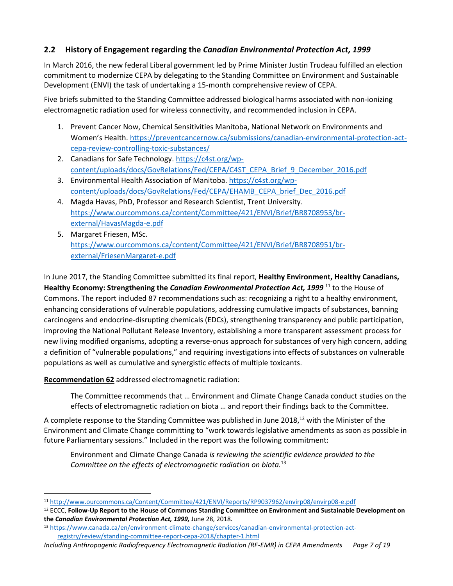#### **2.2 History of Engagement regarding the** *Canadian Environmental Protection Act, 1999*

In March 2016, the new federal Liberal government led by Prime Minister Justin Trudeau fulfilled an election commitment to modernize CEPA by delegating to the Standing Committee on Environment and Sustainable Development (ENVI) the task of undertaking a 15-month comprehensive review of CEPA.

Five briefs submitted to the Standing Committee addressed biological harms associated with non-ionizing electromagnetic radiation used for wireless connectivity, and recommended inclusion in CEPA.

- 1. Prevent Cancer Now, Chemical Sensitivities Manitoba, National Network on Environments and Women's Health. [https://preventcancernow.ca/submissions/canadian-environmental-protection-act](https://preventcancernow.ca/submissions/canadian-environmental-protection-act-cepa-review-controlling-toxic-substances/)[cepa-review-controlling-toxic-substances/](https://preventcancernow.ca/submissions/canadian-environmental-protection-act-cepa-review-controlling-toxic-substances/)
- 2. Canadians for Safe Technology. [https://c4st.org/wp](https://c4st.org/wp-content/uploads/docs/GovRelations/Fed/CEPA/C4ST_CEPA_Brief_9_December_2016.pdf)[content/uploads/docs/GovRelations/Fed/CEPA/C4ST\\_CEPA\\_Brief\\_9\\_December\\_2016.pdf](https://c4st.org/wp-content/uploads/docs/GovRelations/Fed/CEPA/C4ST_CEPA_Brief_9_December_2016.pdf)
- 3. Environmental Health Association of Manitoba. [https://c4st.org/wp](https://c4st.org/wp-content/uploads/docs/GovRelations/Fed/CEPA/EHAMB_CEPA_brief_Dec_2016.pdf)[content/uploads/docs/GovRelations/Fed/CEPA/EHAMB\\_CEPA\\_brief\\_Dec\\_2016.pdf](https://c4st.org/wp-content/uploads/docs/GovRelations/Fed/CEPA/EHAMB_CEPA_brief_Dec_2016.pdf)
- 4. Magda Havas, PhD, Professor and Research Scientist, Trent University. [https://www.ourcommons.ca/content/Committee/421/ENVI/Brief/BR8708953/br](https://www.ourcommons.ca/content/Committee/421/ENVI/Brief/BR8708953/br-external/HavasMagda-e.pdf)[external/HavasMagda-e.pdf](https://www.ourcommons.ca/content/Committee/421/ENVI/Brief/BR8708953/br-external/HavasMagda-e.pdf)
- 5. Margaret Friesen, MSc. [https://www.ourcommons.ca/content/Committee/421/ENVI/Brief/BR8708951/br](https://www.ourcommons.ca/content/Committee/421/ENVI/Brief/BR8708951/br-external/FriesenMargaret-e.pdf)[external/FriesenMargaret-e.pdf](https://www.ourcommons.ca/content/Committee/421/ENVI/Brief/BR8708951/br-external/FriesenMargaret-e.pdf)

In June 2017, the Standing Committee submitted its final report, **Healthy Environment, Healthy Canadians, Healthy Economy: Strengthening the** *Canadian Environmental Protection Act, 1999* <sup>11</sup> to the House of Commons. The report included 87 recommendations such as: recognizing a right to a healthy environment, enhancing considerations of vulnerable populations, addressing cumulative impacts of substances, banning carcinogens and endocrine-disrupting chemicals (EDCs), strengthening transparency and public participation, improving the National Pollutant Release Inventory, establishing a more transparent assessment process for new living modified organisms, adopting a reverse-onus approach for substances of very high concern, adding a definition of "vulnerable populations," and requiring investigations into effects of substances on vulnerable populations as well as cumulative and synergistic effects of multiple toxicants.

**Recommendation 62** addressed electromagnetic radiation:

The Committee recommends that … Environment and Climate Change Canada conduct studies on the effects of electromagnetic radiation on biota … and report their findings back to the Committee.

A complete response to the Standing Committee was published in June 2018, $^{12}$  with the Minister of the Environment and Climate Change committing to "work towards legislative amendments as soon as possible in future Parliamentary sessions." Included in the report was the following commitment:

Environment and Climate Change Canada *is reviewing the scientific evidence provided to the Committee on the effects of electromagnetic radiation on biota.*<sup>13</sup>

<sup>12</sup> ECCC, **Follow-Up Report to the House of Commons Standing Committee on Environment and Sustainable Development on the** *Canadian Environmental Protection Act, 1999,* June 28, 2018.

<sup>11</sup> <http://www.ourcommons.ca/Content/Committee/421/ENVI/Reports/RP9037962/envirp08/envirp08-e.pdf>

<sup>13</sup> [https://www.canada.ca/en/environment-climate-change/services/canadian-environmental-protection-act](https://www.canada.ca/en/environment-climate-change/services/canadian-environmental-protection-act-registry/review/standing-committee-report-cepa-2018/chapter-1.html)[registry/review/standing-committee-report-cepa-2018/chapter-1.html](https://www.canada.ca/en/environment-climate-change/services/canadian-environmental-protection-act-registry/review/standing-committee-report-cepa-2018/chapter-1.html)

*Including Anthropogenic Radiofrequency Electromagnetic Radiation (RF-EMR) in CEPA Amendments Page 7 of 19*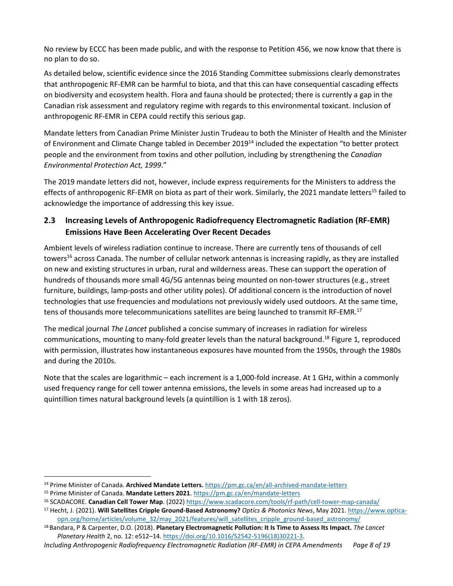No review by ECCC has been made public, and with the response to Petition 456, we now know that there is no plan to do so.

As detailed below, scientific evidence since the 2016 Standing Committee submissions clearly demonstrates that anthropogenic RF-EMR can be harmful to biota, and that this can have consequential cascading effects on biodiversity and ecosystem health. Flora and fauna should be protected; there is currently a gap in the Canadian risk assessment and regulatory regime with regards to this environmental toxicant. Inclusion of anthropogenic RF-EMR in CEPA could rectify this serious gap.

Mandate letters from Canadian Prime Minister Justin Trudeau to both the Minister of Health and the Minister of Environment and Climate Change tabled in December 2019<sup>14</sup> included the expectation "to better protect people and the environment from toxins and other pollution, including by strengthening the *Canadian Environmental Protection Act, 1999*."

The 2019 mandate letters did not, however, include express requirements for the Ministers to address the effects of anthropogenic RF-EMR on biota as part of their work. Similarly, the 2021 mandate letters<sup>15</sup> failed to acknowledge the importance of addressing this key issue.

#### **2.3 Increasing Levels of Anthropogenic Radiofrequency Electromagnetic Radiation (RF-EMR) Emissions Have Been Accelerating Over Recent Decades**

Ambient levels of wireless radiation continue to increase. There are currently tens of thousands of cell towers <sup>16</sup> across Canada. The number of cellular network antennas is increasing rapidly, as they are installed on new and existing structures in urban, rural and wilderness areas. These can support the operation of hundreds of thousands more small 4G/5G antennas being mounted on non-tower structures (e.g., street furniture, buildings, lamp-posts and other utility poles). Of additional concern is the introduction of novel technologies that use frequencies and modulations not previously widely used outdoors. At the same time, tens of thousands more telecommunications satellites are being launched to transmit RF-EMR.<sup>17</sup>

The medical journal *The Lancet* published a concise summary of increases in radiation for wireless communications, mounting to many-fold greater levels than the natural background.<sup>18</sup> Figure 1, reproduced with permission, illustrates how instantaneous exposures have mounted from the 1950s, through the 1980s and during the 2010s.

Note that the scales are logarithmic – each increment is a 1,000-fold increase. At 1 GHz, within a commonly used frequency range for cell tower antenna emissions, the levels in some areas had increased up to a quintillion times natural background levels (a quintillion is 1 with 18 zeros).

<sup>14</sup> Prime Minister of Canada. **Archived Mandate Letters.** <https://pm.gc.ca/en/all-archived-mandate-letters>

<sup>15</sup> Prime Minister of Canada. **Mandate Letters 2021**.<https://pm.gc.ca/en/mandate-letters>

<sup>16</sup> SCADACORE. **Canadian Cell Tower Map**. (2022)<https://www.scadacore.com/tools/rf-path/cell-tower-map-canada/>

<sup>17</sup> Hecht, J. (2021). **Will Satellites Cripple Ground-Based Astronomy?** *Optics & Photonics News*, May 2021[. https://www.optica](https://www.optica-opn.org/home/articles/volume_32/may_2021/features/will_satellites_cripple_ground-based_astronomy/)[opn.org/home/articles/volume\\_32/may\\_2021/features/will\\_satellites\\_cripple\\_ground-based\\_astronomy/](https://www.optica-opn.org/home/articles/volume_32/may_2021/features/will_satellites_cripple_ground-based_astronomy/)

<sup>18</sup> Bandara, P & Carpenter, D.O. (2018). **Planetary Electromagnetic Pollution: It Is Time to Assess Its Impact.** *The Lancet Planetary Health* 2, no. 12: e512–14[. https://doi.org/10.1016/S2542-5196\(18\)30221-3.](https://doi.org/10.1016/S2542-5196(18)30221-3)

*Including Anthropogenic Radiofrequency Electromagnetic Radiation (RF-EMR) in CEPA Amendments Page 8 of 19*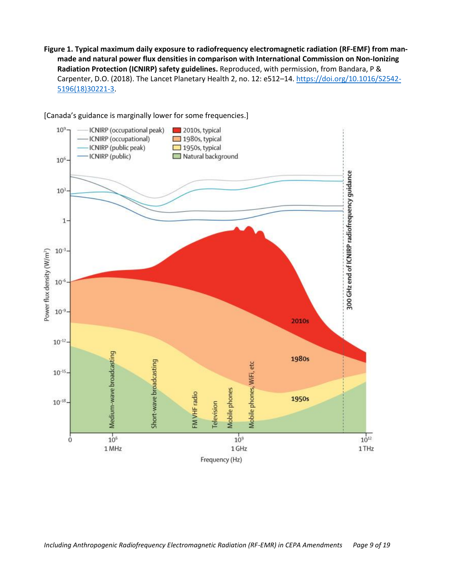**Figure 1. Typical maximum daily exposure to radiofrequency electromagnetic radiation (RF-EMF) from manmade and natural power flux densities in comparison with International Commission on Non-Ionizing Radiation Protection (ICNIRP) safety guidelines.** Reproduced, with permission, from Bandara, P & Carpenter, D.O. (2018). The Lancet Planetary Health 2, no. 12: e512-14[. https://doi.org/10.1016/S2542-](https://doi.org/10.1016/S2542-5196(18)30221-3) [5196\(18\)30221-3.](https://doi.org/10.1016/S2542-5196(18)30221-3)



[Canada's guidance is marginally lower for some frequencies.]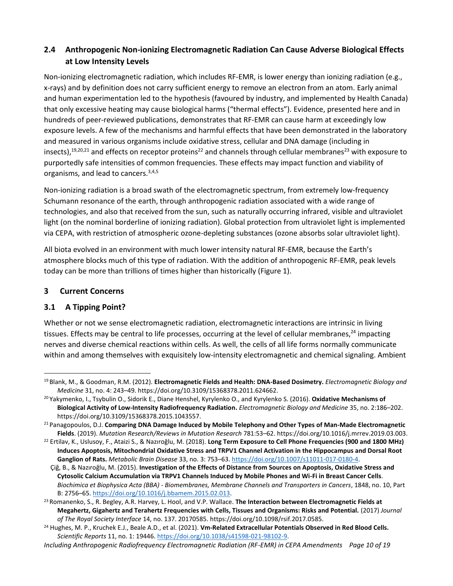#### **2.4 Anthropogenic Non-ionizing Electromagnetic Radiation Can Cause Adverse Biological Effects at Low Intensity Levels**

Non-ionizing electromagnetic radiation, which includes RF-EMR, is lower energy than ionizing radiation (e.g., x-rays) and by definition does not carry sufficient energy to remove an electron from an atom. Early animal and human experimentation led to the hypothesis (favoured by industry, and implemented by Health Canada) that only excessive heating may cause biological harms ("thermal effects"). Evidence, presented here and in hundreds of peer-reviewed publications, demonstrates that RF-EMR can cause harm at exceedingly low exposure levels. A few of the mechanisms and harmful effects that have been demonstrated in the laboratory and measured in various organisms include oxidative stress, cellular and DNA damage (including in insects),<sup>19,20,21</sup> and effects on receptor proteins<sup>22</sup> and channels through cellular membranes<sup>23</sup> with exposure to purportedly safe intensities of common frequencies. These effects may impact function and viability of organisms, and lead to cancers.<sup>3,[4,5](#page-4-0)</sup>

Non-ionizing radiation is a broad swath of the electromagnetic spectrum, from extremely low-frequency Schumann resonance of the earth, through anthropogenic radiation associated with a wide range of technologies, and also that received from the sun, such as naturally occurring infrared, visible and ultraviolet light (on the nominal borderline of ionizing radiation). Global protection from ultraviolet light is implemented via CEPA, with restriction of atmospheric ozone-depleting substances (ozone absorbs solar ultraviolet light).

All biota evolved in an environment with much lower intensity natural RF-EMR, because the Earth's atmosphere blocks much of this type of radiation. With the addition of anthropogenic RF-EMR, peak levels today can be more than trillions of times higher than historically (Figure 1).

#### **3 Current Concerns**

#### **3.1 A Tipping Point?**

Whether or not we sense electromagnetic radiation, electromagnetic interactions are intrinsic in living tissues. Effects may be central to life processes, occurring at the level of cellular membranes,<sup>24</sup> impacting nerves and diverse chemical reactions within cells. As well, the cells of all life forms normally communicate within and among themselves with exquisitely low-intensity electromagnetic and chemical signaling. Ambient

<sup>19</sup> Blank, M., & Goodman, R.M. (2012). **Electromagnetic Fields and Health: DNA-Based Dosimetry.** *Electromagnetic Biology and Medicine* 31, no. 4: 243–49[. https://doi.org/10.3109/15368378.2011.624662.](https://doi.org/10.3109/15368378.2011.624662)

<sup>20</sup> Yakymenko, I., Tsybulin O., Sidorik E., Diane Henshel, Kyrylenko O., and Kyrylenko S. (2016). **Oxidative Mechanisms of Biological Activity of Low-Intensity Radiofrequency Radiation.** *Electromagnetic Biology and Medicine* 35, no. 2:186–202. [https://doi.org/10.3109/15368378.2015.1043557.](https://doi.org/10.3109/15368378.2015.1043557)

<sup>21</sup> Panagopoulos, D.J. **Comparing DNA Damage Induced by Mobile Telephony and Other Types of Man-Made Electromagnetic Fields**. (2019). *Mutation Research/Reviews in Mutation Research* 781:53–62[. https://doi.org/10.1016/j.mrrev.2019.03.003.](https://doi.org/10.1016/j.mrrev.2019.03.003)

<sup>22</sup> Ertilav, K., Uslusoy, F., Ataizi S., & Nazıroğlu, M. (2018). **Long Term Exposure to Cell Phone Frequencies (900 and 1800 MHz) Induces Apoptosis, Mitochondrial Oxidative Stress and TRPV1 Channel Activation in the Hippocampus and Dorsal Root Ganglion of Rats.** *Metabolic Brain Disease* 33, no. 3: 753–63[. https://doi.org/10.1007/s11011-017-0180-4.](https://doi.org/10.1007/s11011-017-0180-4)

Çiğ, B., & Nazıroğlu, M. (2015). **Investigation of the Effects of Distance from Sources on Apoptosis, Oxidative Stress and Cytosolic Calcium Accumulation via TRPV1 Channels Induced by Mobile Phones and Wi-Fi in Breast Cancer Cells**. *Biochimica et Biophysica Acta (BBA) - Biomembranes, Membrane Channels and Transporters in Cancers*, 1848, no. 10, Part B: 2756–65[. https://doi.org/10.1016/j.bbamem.2015.02.013.](https://doi.org/10.1016/j.bbamem.2015.02.013)

<sup>23</sup> Romanenko, S., R. Begley, A.R. Harvey, L. Hool, and V.P. Wallace. **The Interaction between Electromagnetic Fields at Megahertz, Gigahertz and Terahertz Frequencies with Cells, Tissues and Organisms: Risks and Potential.** (2017) *Journal of The Royal Society Interface* 14, no. 137. 20170585. [https://doi.org/10.1098/rsif.2017.0585.](https://doi.org/10.1098/rsif.2017.0585)

<sup>24</sup> Hughes, M. P., Kruchek E.J., Beale A.D., et al. (2021). **Vm-Related Extracellular Potentials Observed in Red Blood Cells.** *Scientific Reports* 11, no. 1: 19446[. https://doi.org/10.1038/s41598-021-98102-9.](https://doi.org/10.1038/s41598-021-98102-9)

*Including Anthropogenic Radiofrequency Electromagnetic Radiation (RF-EMR) in CEPA Amendments Page 10 of 19*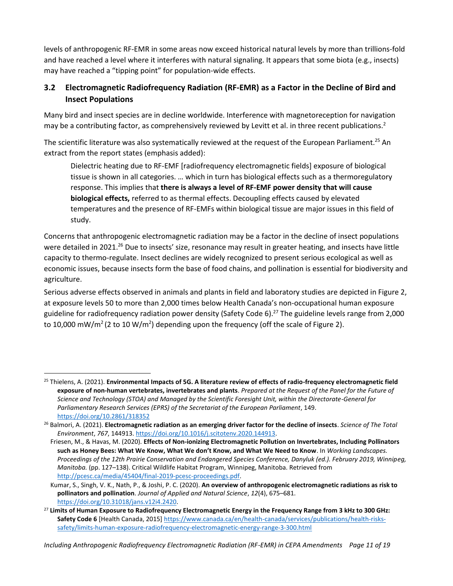levels of anthropogenic RF-EMR in some areas now exceed historical natural levels by more than trillions-fold and have reached a level where it interferes with natural signaling. It appears that some biota (e.g., insects) may have reached a "tipping point" for population-wide effects.

#### **3.2 Electromagnetic Radiofrequency Radiation (RF-EMR) as a Factor in the Decline of Bird and Insect Populations**

Many bird and insect species are in decline worldwide. Interference with magnetoreception for navigation may be a contributing factor, as comprehensively reviewed by Levitt et al. in three recent publications.<sup>[2](#page-4-1)</sup>

The scientific literature was also systematically reviewed at the request of the European Parliament.<sup>25</sup> An extract from the report states (emphasis added):

Dielectric heating due to RF-EMF [radiofrequency electromagnetic fields] exposure of biological tissue is shown in all categories. … which in turn has biological effects such as a thermoregulatory response. This implies that **there is always a level of RF-EMF power density that will cause biological effects,** referred to as thermal effects. Decoupling effects caused by elevated temperatures and the presence of RF-EMFs within biological tissue are major issues in this field of study.

Concerns that anthropogenic electromagnetic radiation may be a factor in the decline of insect populations were detailed in 2021.<sup>26</sup> Due to insects' size, resonance may result in greater heating, and insects have little capacity to thermo-regulate. Insect declines are widely recognized to present serious ecological as well as economic issues, because insects form the base of food chains, and pollination is essential for biodiversity and agriculture.

<span id="page-10-0"></span>Serious adverse effects observed in animals and plants in field and laboratory studies are depicted in Figure 2, at exposure levels 50 to more than 2,000 times below Health Canada's non-occupational human exposure guideline for radiofrequency radiation power density (Safety Code 6). <sup>27</sup> The guideline levels range from 2,000 to 10,000 mW/m<sup>2</sup> (2 to 10 W/m<sup>2</sup>) depending upon the frequency (off the scale of Figure 2).

<sup>25</sup> Thielens, A. (2021). **Environmental Impacts of 5G. A literature review of effects of radio-frequency electromagnetic field exposure of non-human vertebrates, invertebrates and plants**. *Prepared at the Request of the Panel for the Future of Science and Technology (STOA) and Managed by the Scientific Foresight Unit, within the Directorate-General for Parliamentary Research Services (EPRS) of the Secretariat of the European Parliament*, 149. <https://doi.org/10.2861/318352>

<sup>26</sup> Balmori, A. (2021). **Electromagnetic radiation as an emerging driver factor for the decline of insects**. *Science of The Total Environment*, *767*, 144913[. https://doi.org/10.1016/j.scitotenv.2020.144913.](https://doi.org/10.1016/j.scitotenv.2020.144913)

Friesen, M., & Havas, M. (2020). **Effects of Non-ionizing Electromagnetic Pollution on Invertebrates, Including Pollinators such as Honey Bees: What We Know, What We don't Know, and What We Need to Know**. In *Working Landscapes. Proceedings of the 12th Prairie Conservation and Endangered Species Conference, Danyluk (ed.). February 2019, Winnipeg, Manitoba.* (pp. 127–138). Critical Wildlife Habitat Program, Winnipeg, Manitoba. Retrieved from [http://pcesc.ca/media/45404/final-2019-pcesc-proceedings.pdf.](http://pcesc.ca/media/45404/final-2019-pcesc-proceedings.pdf)

Kumar, S., Singh, V. K., Nath, P., & Joshi, P. C. (2020). **An overview of anthropogenic electromagnetic radiations as risk to pollinators and pollination**. *Journal of Applied and Natural Science*, *12*(4), 675–681. [https://doi.org/10.31018/jans.v12i4.2420.](https://doi.org/10.31018/jans.v12i4.2420)

<sup>27</sup> **Limits of Human Exposure to Radiofrequency Electromagnetic Energy in the Frequency Range from 3 kHz to 300 GHz: Safety Code 6** [Health Canada, 2015[\] https://www.canada.ca/en/health-canada/services/publications/health-risks](https://www.canada.ca/en/health-canada/services/publications/health-risks-safety/limits-human-exposure-radiofrequency-electromagnetic-energy-range-3-300.html)[safety/limits-human-exposure-radiofrequency-electromagnetic-energy-range-3-300.html](https://www.canada.ca/en/health-canada/services/publications/health-risks-safety/limits-human-exposure-radiofrequency-electromagnetic-energy-range-3-300.html)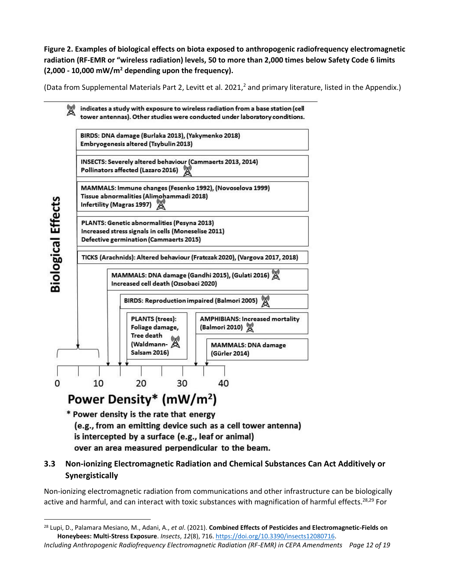**Figure 2. Examples of biological effects on biota exposed to anthropogenic radiofrequency electromagnetic radiation (RF-EMR or "wireless radiation) levels, 50 to more than 2,000 times below Safety Code 6 limits (2,000 - 10,000 mW/m<sup>2</sup> depending upon the frequency).** 

(Data from Supplemental Materials Part 2, Levitt et al. 202[1,](#page-4-1) $^2$  and primary literature, listed in the Appendix.)



(e.g., from an emitting device such as a cell tower antenna) is intercepted by a surface (e.g., leaf or animal) over an area measured perpendicular to the beam.

#### **3.3 Non-ionizing Electromagnetic Radiation and Chemical Substances Can Act Additively or Synergistically**

Non-ionizing electromagnetic radiation from communications and other infrastructure can be biologically active and harmful, and can interact with toxic substances with magnification of harmful effects.<sup>28,29</sup> For

*Including Anthropogenic Radiofrequency Electromagnetic Radiation (RF-EMR) in CEPA Amendments Page 12 of 19* <sup>28</sup> Lupi, D., Palamara Mesiano, M., Adani, A., *et al*. (2021). **Combined Effects of Pesticides and Electromagnetic-Fields on Honeybees: Multi-Stress Exposure**. *Insects*, *12*(8), 716[. https://doi.org/10.3390/insects12080716.](https://doi.org/10.3390/insects12080716)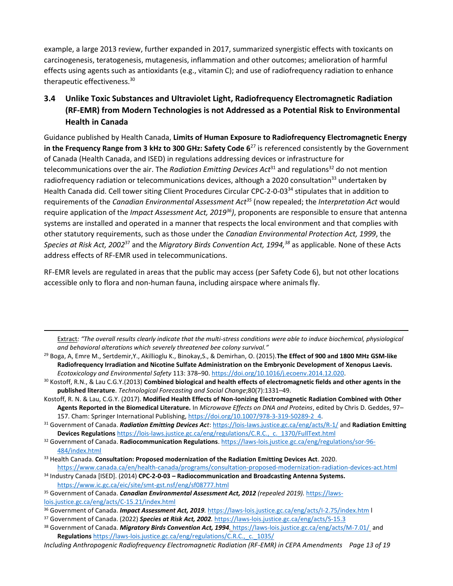example, a large 2013 review, further expanded in 2017, summarized synergistic effects with toxicants on carcinogenesis, teratogenesis, mutagenesis, inflammation and other outcomes; amelioration of harmful effects using agents such as antioxidants (e.g., vitamin C); and use of radiofrequency radiation to enhance therapeutic effectiveness.<sup>30</sup>

#### **3.4 Unlike Toxic Substances and Ultraviolet Light, Radiofrequency Electromagnetic Radiation (RF-EMR) from Modern Technologies is not Addressed as a Potential Risk to Environmental Health in Canada**

Guidance published by Health Canada, **Limits of Human Exposure to Radiofrequency Electromagnetic Energy in the Frequency Range from 3 kHz to 300 GHz: Safety Code 6**[27](#page-10-0) is referenced consistently by the Government of Canada (Health Canada, and ISED) in regulations addressing devices or infrastructure for telecommunications over the air. The *Radiation Emitting Devices Act*<sup>31</sup> and regulations<sup>32</sup> do not mention radiofrequency radiation or telecommunications devices, although a 2020 consultation<sup>33</sup> undertaken by Health Canada did. Cell tower siting Client Procedures Circular CPC-2-0-03<sup>34</sup> stipulates that in addition to requirements of the *Canadian Environmental Assessment Act<sup>35</sup>* (now repealed; the *Interpretation Act* would require application of the *Impact Assessment Act, 2019<sup>36</sup>)*, proponents are responsible to ensure that antenna systems are installed and operated in a manner that respects the local environment and that complies with other statutory requirements, such as those under the *Canadian Environmental Protection Act, 1999*, the *Species at Risk Act, 2002*<sup>37</sup> and the *Migratory Birds Convention Act, 1994, <sup>38</sup>* as applicable*.* None of these Acts address effects of RF-EMR used in telecommunications.

RF-EMR levels are regulated in areas that the public may access (per Safety Code 6), but not other locations accessible only to flora and non-human fauna, including airspace where animals fly.

Extract: "The overall results clearly indicate that the multi-stress conditions were able to induce biochemical, physiological *and behavioral alterations which severely threatened bee colony survival."*

<sup>29</sup> Boga, A, Emre M., Sertdemir,Y., Akillioglu K., Binokay,S., & Demirhan, O. (2015).**The Effect of 900 and 1800 MHz GSM-like Radiofrequency Irradiation and Nicotine Sulfate Administration on the Embryonic Development of Xenopus Laevis.** *Ecotoxicology and Environmental Safety* 113: 378–90[. https://doi.org/10.1016/j.ecoenv.2014.12.020.](https://doi.org/10.1016/j.ecoenv.2014.12.020)

<sup>30</sup> Kostoff, R.N., & Lau C.G.Y.(2013) **Combined biological and health effects of electromagnetic fields and other agents in the published literature**. *Technological Forecasting and Social Change*;80(7):1331–49.

- Kostoff, R. N. & Lau, C.G.Y. (2017). **Modified Health Effects of Non-Ionizing Electromagnetic Radiation Combined with Other Agents Reported in the Biomedical Literature.** In *Microwave Effects on DNA and Proteins*, edited by Chris D. Geddes, 97– 157. Cham: Springer International Publishing[, https://doi.org/10.1007/978-3-319-50289-2\\_4.](https://doi.org/10.1007/978-3-319-50289-2_4)
- <sup>31</sup> Government of Canada. *Radiation Emitting Devices Act*[: https://lois-laws.justice.gc.ca/eng/acts/R-1/](https://lois-laws.justice.gc.ca/eng/acts/R-1/) and **Radiation Emitting Devices Regulations** [https://lois-laws.justice.gc.ca/eng/regulations/C.R.C.,\\_c.\\_1370/FullText.html](https://lois-laws.justice.gc.ca/eng/regulations/C.R.C.,_c._1370/FullText.html)

- <sup>37</sup> Government of Canada. (2022) *Species at Risk Act, 2002.* <https://laws-lois.justice.gc.ca/eng/acts/S-15.3>
- 38 Government of Canada. *Migratory Birds Convention Act, 1994.* <https://laws-lois.justice.gc.ca/eng/acts/M-7.01/> and **Regulations** [https://laws-lois.justice.gc.ca/eng/regulations/C.R.C.,\\_c.\\_1035/](https://laws-lois.justice.gc.ca/eng/regulations/C.R.C.,_c._1035/)

<sup>32</sup> Government of Canada. **Radiocommunication Regulations**[. https://laws-lois.justice.gc.ca/eng/regulations/sor-96-](https://laws-lois.justice.gc.ca/eng/regulations/sor-96-484/index.html) [484/index.html](https://laws-lois.justice.gc.ca/eng/regulations/sor-96-484/index.html)

<sup>33</sup> Health Canada. **Consultation: Proposed modernization of the Radiation Emitting Devices Act**. 2020.

<https://www.canada.ca/en/health-canada/programs/consultation-proposed-modernization-radiation-devices-act.html> <sup>34</sup> Industry Canada [ISED]. (2014) **CPC-2-0-03 – Radiocommunication and Broadcasting Antenna Systems.** 

<https://www.ic.gc.ca/eic/site/smt-gst.nsf/eng/sf08777.html>

<sup>35</sup> Government of Canada. *Canadian Environmental Assessment Act, 2012 (repealed 2019).* [https://laws](https://laws-lois.justice.gc.ca/eng/acts/C-15.21/index.html)[lois.justice.gc.ca/eng/acts/C-15.21/index.html](https://laws-lois.justice.gc.ca/eng/acts/C-15.21/index.html) 

<sup>36</sup> Government of Canada. *Impact Assessment Act, 2019.* <https://laws-lois.justice.gc.ca/eng/acts/I-2.75/index.htm> l

*Including Anthropogenic Radiofrequency Electromagnetic Radiation (RF-EMR) in CEPA Amendments Page 13 of 19*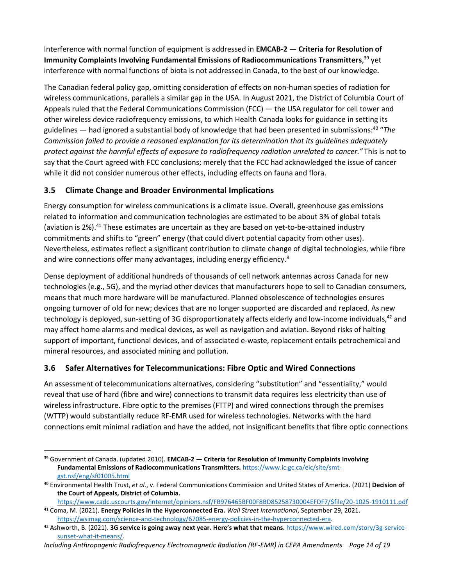Interference with normal function of equipment is addressed in **EMCAB-2 — Criteria for Resolution of Immunity Complaints Involving Fundamental Emissions of Radiocommunications Transmitters**, <sup>39</sup> yet interference with normal functions of biota is not addressed in Canada, to the best of our knowledge.

The Canadian federal policy gap, omitting consideration of effects on non-human species of radiation for wireless communications, parallels a similar gap in the USA. In August 2021, the District of Columbia Court of Appeals ruled that the Federal Communications Commission (FCC) — the USA regulator for cell tower and other wireless device radiofrequency emissions, to which Health Canada looks for guidance in setting its guidelines — had ignored a substantial body of knowledge that had been presented in submissions:<sup>40</sup> "The *Commission failed to provide a reasoned explanation for its determination that its guidelines adequately protect against the harmful effects of exposure to radiofrequency radiation unrelated to cancer."* This is not to say that the Court agreed with FCC conclusions; merely that the FCC had acknowledged the issue of cancer while it did not consider numerous other effects, including effects on fauna and flora.

#### **3.5 Climate Change and Broader Environmental Implications**

Energy consumption for wireless communications is a climate issue. Overall, greenhouse gas emissions related to information and communication technologies are estimated to be about 3% of global totals (aviation is 2%). <sup>41</sup> These estimates are uncertain as they are based on yet-to-be-attained industry commitments and shifts to "green" energy (that could divert potential capacity from other uses). Nevertheless, estimates reflect a significant contribution to climate change of digital technologies, while fibre and wire connections offer many advantages, including energy efficiency[.](#page-5-0)<sup>8</sup>

Dense deployment of additional hundreds of thousands of cell network antennas across Canada for new technologies (e.g., 5G), and the myriad other devices that manufacturers hope to sell to Canadian consumers, means that much more hardware will be manufactured. Planned obsolescence of technologies ensures ongoing turnover of old for new; devices that are no longer supported are discarded and replaced. As new technology is deployed, sun-setting of 3G disproportionately affects elderly and low-income individuals,<sup>42</sup> and may affect home alarms and medical devices, as well as navigation and aviation. Beyond risks of halting support of important, functional devices, and of associated e-waste, replacement entails petrochemical and mineral resources, and associated mining and pollution.

#### **3.6 Safer Alternatives for Telecommunications: Fibre Optic and Wired Connections**

An assessment of telecommunications alternatives, considering "substitution" and "essentiality," would reveal that use of hard (fibre and wire) connections to transmit data requires less electricity than use of wireless infrastructure. Fibre optic to the premises (FTTP) and wired connections through the premises (WTTP) would substantially reduce RF-EMR used for wireless technologies. Networks with the hard connections emit minimal radiation and have the added, not insignificant benefits that fibre optic connections

<sup>39</sup> Government of Canada. (updated 2010). **EMCAB-2 — Criteria for Resolution of Immunity Complaints Involving Fundamental Emissions of Radiocommunications Transmitters.** [https://www.ic.gc.ca/eic/site/smt](https://www.ic.gc.ca/eic/site/smt-gst.nsf/eng/sf01005.html)[gst.nsf/eng/sf01005.html](https://www.ic.gc.ca/eic/site/smt-gst.nsf/eng/sf01005.html)

<sup>40</sup> Environmental Health Trust, *et al.*, v. Federal Communications Commission and United States of America. (2021) **Decision of the Court of Appeals, District of Columbia.** 

[https://www.cadc.uscourts.gov/internet/opinions.nsf/FB976465BF00F8BD85258730004EFDF7/\\$file/20-1025-1910111.pdf](https://www.cadc.uscourts.gov/internet/opinions.nsf/FB976465BF00F8BD85258730004EFDF7/$file/20-1025-1910111.pdf)

<sup>41</sup> Coma, M. (2021). **Energy Policies in the Hyperconnected Era.** *Wall Street International*, September 29, 2021. [https://wsimag.com/science-and-technology/67085-energy-policies-in-the-hyperconnected-era.](https://wsimag.com/science-and-technology/67085-energy-policies-in-the-hyperconnected-era)

<sup>42</sup> Ashworth, B. (2021). **3G service is going away next year. Here's what that means.** [https://www.wired.com/story/3g-service](https://www.wired.com/story/3g-service-sunset-what-it-means/)[sunset-what-it-means/.](https://www.wired.com/story/3g-service-sunset-what-it-means/)

*Including Anthropogenic Radiofrequency Electromagnetic Radiation (RF-EMR) in CEPA Amendments Page 14 of 19*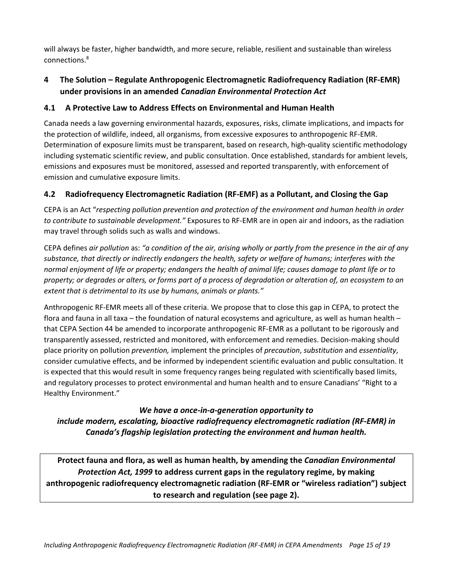will always be faster, higher bandwidth, and more secure, reliable, resilient and sustainable than wireless connections. 8

#### **4 The Solution – Regulate Anthropogenic Electromagnetic Radiofrequency Radiation (RF-EMR) under provisions in an amended** *Canadian Environmental Protection Act*

#### **4.1 A Protective Law to Address Effects on Environmental and Human Health**

Canada needs a law governing environmental hazards, exposures, risks, climate implications, and impacts for the protection of wildlife, indeed, all organisms, from excessive exposures to anthropogenic RF-EMR. Determination of exposure limits must be transparent, based on research, high-quality scientific methodology including systematic scientific review, and public consultation. Once established, standards for ambient levels, emissions and exposures must be monitored, assessed and reported transparently, with enforcement of emission and cumulative exposure limits.

#### **4.2 Radiofrequency Electromagnetic Radiation (RF-EMF) as a Pollutant, and Closing the Gap**

CEPA is an Act "*respecting pollution prevention and protection of the environment and human health in order to contribute to sustainable development."* Exposures to RF-EMR are in open air and indoors, as the radiation may travel through solids such as walls and windows.

CEPA defines *air pollution* as: *"a condition of the air, arising wholly or partly from the presence in the air of any substance, that directly or indirectly endangers the health, safety or welfare of humans; interferes with the normal enjoyment of life or property; endangers the health of animal life; causes damage to plant life or to property; or degrades or alters, or forms part of a process of degradation or alteration of, an ecosystem to an extent that is detrimental to its use by humans, animals or plants."*

Anthropogenic RF-EMR meets all of these criteria. We propose that to close this gap in CEPA, to protect the flora and fauna in all taxa – the foundation of natural ecosystems and agriculture, as well as human health – that CEPA Section 44 be amended to incorporate anthropogenic RF-EMR as a pollutant to be rigorously and transparently assessed, restricted and monitored, with enforcement and remedies. Decision-making should place priority on pollution *prevention,* implement the principles of *precaution*, *substitution* and *essentiality*, consider cumulative effects, and be informed by independent scientific evaluation and public consultation. It is expected that this would result in some frequency ranges being regulated with scientifically based limits, and regulatory processes to protect environmental and human health and to ensure Canadians' "Right to a Healthy Environment."

#### *We have a once-in-a-generation opportunity to include modern, escalating, bioactive radiofrequency electromagnetic radiation (RF-EMR) in Canada's flagship legislation protecting the environment and human health.*

**Protect fauna and flora, as well as human health, by amending the** *Canadian Environmental Protection Act, 1999* **to address current gaps in the regulatory regime, by making anthropogenic radiofrequency electromagnetic radiation (RF-EMR or "wireless radiation") subject to research and regulation (see page 2).**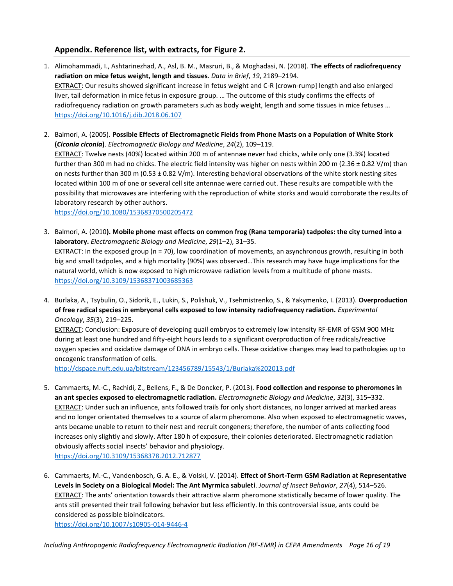#### **Appendix. Reference list, with extracts, for Figure 2.**

- 1. Alimohammadi, I., Ashtarinezhad, A., Asl, B. M., Masruri, B., & Moghadasi, N. (2018). **The effects of radiofrequency radiation on mice fetus weight, length and tissues**. *Data in Brief*, *19*, 2189–2194. EXTRACT: Our results showed significant increase in fetus weight and C-R [crown-rump] length and also enlarged liver, tail deformation in mice fetus in exposure group. … The outcome of this study confirms the effects of radiofrequency radiation on growth parameters such as body weight, length and some tissues in mice fetuses … <https://doi.org/10.1016/j.dib.2018.06.107>
- 2. Balmori, A. (2005). **Possible Effects of Electromagnetic Fields from Phone Masts on a Population of White Stork (***Ciconia ciconia***)**. *Electromagnetic Biology and Medicine*, *24*(2), 109–119. EXTRACT: Twelve nests (40%) located within 200 m of antennae never had chicks, while only one (3.3%) located further than 300 m had no chicks. The electric field intensity was higher on nests within 200 m (2.36  $\pm$  0.82 V/m) than on nests further than 300 m ( $0.53 \pm 0.82$  V/m). Interesting behavioral observations of the white stork nesting sites located within 100 m of one or several cell site antennae were carried out. These results are compatible with the possibility that microwaves are interfering with the reproduction of white storks and would corroborate the results of laboratory research by other authors.

<https://doi.org/10.1080/15368370500205472>

- 3. Balmori, A. (2010**). Mobile phone mast effects on common frog (Rana temporaria) tadpoles: the city turned into a laboratory.** *Electromagnetic Biology and Medicine*, *29*(1–2), 31–35. EXTRACT: In the exposed group ( $n = 70$ ), low coordination of movements, an asynchronous growth, resulting in both big and small tadpoles, and a high mortality (90%) was observed…This research may have huge implications for the natural world, which is now exposed to high microwave radiation levels from a multitude of phone masts. <https://doi.org/10.3109/15368371003685363>
- 4. Burlaka, A., Tsybulin, O., Sidorik, E., Lukin, S., Polishuk, V., Tsehmistrenko, S., & Yakymenko, I. (2013). **Overproduction of free radical species in embryonal cells exposed to low intensity radiofrequency radiation.** *Experimental Oncology*, *35*(3), 219–225.

EXTRACT: Conclusion: Exposure of developing quail embryos to extremely low intensity RF-EMR of GSM 900 MHz during at least one hundred and fifty-eight hours leads to a significant overproduction of free radicals/reactive oxygen species and oxidative damage of DNA in embryo cells. These oxidative changes may lead to pathologies up to oncogenic transformation of cells.

<http://dspace.nuft.edu.ua/bitstream/123456789/15543/1/Burlaka%202013.pdf>

- 5. Cammaerts, M.-C., Rachidi, Z., Bellens, F., & De Doncker, P. (2013). **Food collection and response to pheromones in an ant species exposed to electromagnetic radiation.** *Electromagnetic Biology and Medicine*, *32*(3), 315–332. EXTRACT: Under such an influence, ants followed trails for only short distances, no longer arrived at marked areas and no longer orientated themselves to a source of alarm pheromone. Also when exposed to electromagnetic waves, ants became unable to return to their nest and recruit congeners; therefore, the number of ants collecting food increases only slightly and slowly. After 180 h of exposure, their colonies deteriorated. Electromagnetic radiation obviously affects social insects' behavior and physiology. <https://doi.org/10.3109/15368378.2012.712877>
- 6. Cammaerts, M.-C., Vandenbosch, G. A. E., & Volski, V. (2014). **Effect of Short-Term GSM Radiation at Representative Levels in Society on a Biological Model: The Ant Myrmica sabuleti**. *Journal of Insect Behavior*, *27*(4), 514–526. EXTRACT: The ants' orientation towards their attractive alarm pheromone statistically became of lower quality. The ants still presented their trail following behavior but less efficiently. In this controversial issue, ants could be considered as possible bioindicators. <https://doi.org/10.1007/s10905-014-9446-4>

*Including Anthropogenic Radiofrequency Electromagnetic Radiation (RF-EMR) in CEPA Amendments Page 16 of 19*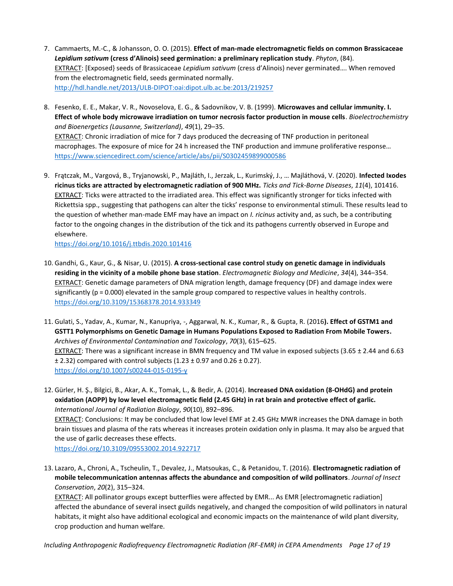- 7. Cammaerts, M.-C., & Johansson, O. O. (2015). **Effect of man-made electromagnetic fields on common Brassicaceae**  *Lepidium sativum* **(cress d'Alinois) seed germination: a preliminary replication study**. *Phyton*, (84). EXTRACT: [Exposed} seeds of Brassicaceae *Lepidium sativum* (cress d'Alinois) never germinated…. When removed from the electromagnetic field, seeds germinated normally. <http://hdl.handle.net/2013/ULB-DIPOT:oai:dipot.ulb.ac.be:2013/219257>
- 8. Fesenko, E. E., Makar, V. R., Novoselova, E. G., & Sadovnikov, V. B. (1999). **Microwaves and cellular immunity. I. Effect of whole body microwave irradiation on tumor necrosis factor production in mouse cells**. *Bioelectrochemistry and Bioenergetics (Lausanne, Switzerland)*, *49*(1), 29–35. EXTRACT: Chronic irradiation of mice for 7 days produced the decreasing of TNF production in peritoneal macrophages. The exposure of mice for 24 h increased the TNF production and immune proliferative response… <https://www.sciencedirect.com/science/article/abs/pii/S0302459899000586>
- 9. Frątczak, M., Vargová, B., Tryjanowski, P., Majláth, I., Jerzak, L., Kurimský, J., … Majláthová, V. (2020). **Infected Ixodes ricinus ticks are attracted by electromagnetic radiation of 900 MHz.** *Ticks and Tick-Borne Diseases*, *11*(4), 101416. EXTRACT: Ticks were attracted to the irradiated area. This effect was significantly stronger for ticks infected with Rickettsia spp., suggesting that pathogens can alter the ticks' response to environmental stimuli. These results lead to the question of whether man-made EMF may have an impact on *I. ricinus* activity and, as such, be a contributing factor to the ongoing changes in the distribution of the tick and its pathogens currently observed in Europe and elsewhere.

<https://doi.org/10.1016/j.ttbdis.2020.101416>

- 10. Gandhi, G., Kaur, G., & Nisar, U. (2015). **A cross-sectional case control study on genetic damage in individuals residing in the vicinity of a mobile phone base station**. *Electromagnetic Biology and Medicine*, *34*(4), 344–354. EXTRACT: Genetic damage parameters of DNA migration length, damage frequency (DF) and damage index were significantly ( $p = 0.000$ ) elevated in the sample group compared to respective values in healthy controls. <https://doi.org/10.3109/15368378.2014.933349>
- 11. Gulati, S., Yadav, A., Kumar, N., Kanupriya, -, Aggarwal, N. K., Kumar, R., & Gupta, R. (2016**). Effect of GSTM1 and GSTT1 Polymorphisms on Genetic Damage in Humans Populations Exposed to Radiation From Mobile Towers.** *Archives of Environmental Contamination and Toxicology*, *70*(3), 615–625. EXTRACT: There was a significant increase in BMN frequency and TM value in exposed subjects (3.65 ± 2.44 and 6.63  $\pm$  2.32) compared with control subjects (1.23  $\pm$  0.97 and 0.26  $\pm$  0.27). <https://doi.org/10.1007/s00244-015-0195-y>
- 12. Gürler, H. Ş., Bilgici, B., Akar, A. K., Tomak, L., & Bedir, A. (2014). **Increased DNA oxidation (8-OHdG) and protein oxidation (AOPP) by low level electromagnetic field (2.45 GHz) in rat brain and protective effect of garlic.** *International Journal of Radiation Biology*, *90*(10), 892–896.

EXTRACT: Conclusions: It may be concluded that low level EMF at 2.45 GHz MWR increases the DNA damage in both brain tissues and plasma of the rats whereas it increases protein oxidation only in plasma. It may also be argued that the use of garlic decreases these effects.

<https://doi.org/10.3109/09553002.2014.922717>

13. Lazaro, A., Chroni, A., Tscheulin, T., Devalez, J., Matsoukas, C., & Petanidou, T. (2016). **Electromagnetic radiation of mobile telecommunication antennas affects the abundance and composition of wild pollinators**. *Journal of Insect Conservation*, *20*(2), 315–324.

EXTRACT: All pollinator groups except butterflies were affected by EMR... As EMR [electromagnetic radiation] affected the abundance of several insect guilds negatively, and changed the composition of wild pollinators in natural habitats, it might also have additional ecological and economic impacts on the maintenance of wild plant diversity, crop production and human welfare.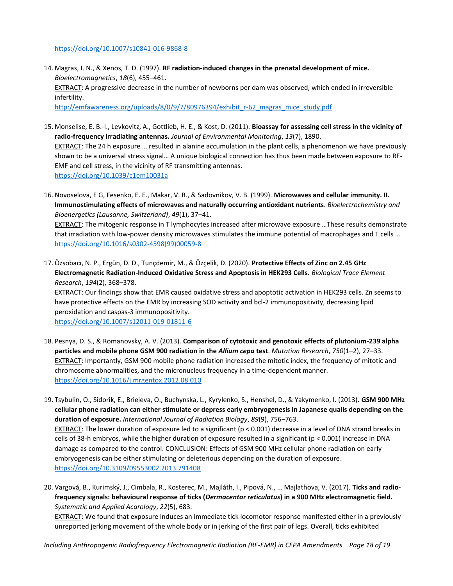#### <https://doi.org/10.1007/s10841-016-9868-8>

- 14. Magras, I. N., & Xenos, T. D. (1997). **RF radiation-induced changes in the prenatal development of mice.** *Bioelectromagnetics*, *18*(6), 455–461. EXTRACT: A progressive decrease in the number of newborns per dam was observed, which ended in irreversible infertility. [http://emfawareness.org/uploads/8/0/9/7/80976394/exhibit\\_r-62\\_magras\\_mice\\_study.pdf](http://emfawareness.org/uploads/8/0/9/7/80976394/exhibit_r-62_magras_mice_study.pdf)
- 15. Monselise, E. B.-I., Levkovitz, A., Gottlieb, H. E., & Kost, D. (2011). **Bioassay for assessing cell stress in the vicinity of radio-frequency irradiating antennas.** *Journal of Environmental Monitoring*, *13*(7), 1890. EXTRACT: The 24 h exposure … resulted in alanine accumulation in the plant cells, a phenomenon we have previously shown to be a universal stress signal… A unique biological connection has thus been made between exposure to RF-EMF and cell stress, in the vicinity of RF transmitting antennas. <https://doi.org/10.1039/c1em10031a>
- 16. Novoselova, E G, Fesenko, E. E., Makar, V. R., & Sadovnikov, V. B. (1999). **Microwaves and cellular immunity. II. Immunostimulating effects of microwaves and naturally occurring antioxidant nutrients**. *Bioelectrochemistry and Bioenergetics (Lausanne, Switzerland)*, *49*(1), 37–41. EXTRACT: The mitogenic response in T lymphocytes increased after microwave exposure …These results demonstrate that irradiation with low-power density microwaves stimulates the immune potential of macrophages and T cells … [https://doi.org/10.1016/s0302-4598\(99\)00059-8](https://doi.org/10.1016/s0302-4598(99)00059-8)
- 17. Özsobacı, N. P., Ergün, D. D., Tunçdemir, M., & Özçelik, D. (2020). **Protective Effects of Zinc on 2.45 GHz Electromagnetic Radiation-Induced Oxidative Stress and Apoptosis in HEK293 Cells.** *Biological Trace Element Research*, *194*(2), 368–378.

EXTRACT: Our findings show that EMR caused oxidative stress and apoptotic activation in HEK293 cells. Zn seems to have protective effects on the EMR by increasing SOD activity and bcl-2 immunopositivity, decreasing lipid peroxidation and caspas-3 immunopositivity.

<https://doi.org/10.1007/s12011-019-01811-6>

- 18. Pesnya, D. S., & Romanovsky, A. V. (2013). **Comparison of cytotoxic and genotoxic effects of plutonium-239 alpha particles and mobile phone GSM 900 radiation in the** *Allium cepa* **test**. *Mutation Research*, *750*(1–2), 27–33. EXTRACT: Importantly, GSM 900 mobile phone radiation increased the mitotic index, the frequency of mitotic and chromosome abnormalities, and the micronucleus frequency in a time-dependent manner. <https://doi.org/10.1016/j.mrgentox.2012.08.010>
- 19. Tsybulin, O., Sidorik, E., Brieieva, O., Buchynska, L., Kyrylenko, S., Henshel, D., & Yakymenko, I. (2013). **GSM 900 MHz cellular phone radiation can either stimulate or depress early embryogenesis in Japanese quails depending on the duration of exposure.** *International Journal of Radiation Biology*, *89*(9), 756–763. EXTRACT: The lower duration of exposure led to a significant (p < 0.001) decrease in a level of DNA strand breaks in cells of 38-h embryos, while the higher duration of exposure resulted in a significant (p < 0.001) increase in DNA damage as compared to the control. CONCLUSION: Effects of GSM 900 MHz cellular phone radiation on early embryogenesis can be either stimulating or deleterious depending on the duration of exposure. <https://doi.org/10.3109/09553002.2013.791408>
- 20. Vargová, B., Kurimský, J., Cimbala, R., Kosterec, M., Majláth, I., Pipová, N., … Majlathova, V. (2017). **Ticks and radiofrequency signals: behavioural response of ticks (***Dermacentor reticulatus***) in a 900 MHz electromagnetic field.** *Systematic and Applied Acarology*, *22*(5), 683.

EXTRACT: We found that exposure induces an immediate tick locomotor response manifested either in a previously unreported jerking movement of the whole body or in jerking of the first pair of legs. Overall, ticks exhibited

*Including Anthropogenic Radiofrequency Electromagnetic Radiation (RF-EMR) in CEPA Amendments Page 18 of 19*